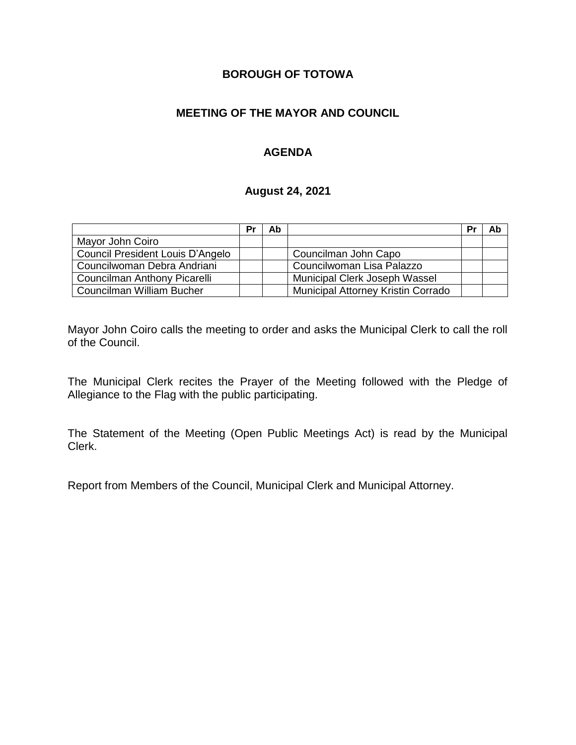# **BOROUGH OF TOTOWA**

# **MEETING OF THE MAYOR AND COUNCIL**

# **AGENDA**

#### **August 24, 2021**

|                                  | Pr | Ab |                                    | Pr | Ab |
|----------------------------------|----|----|------------------------------------|----|----|
| Mayor John Coiro                 |    |    |                                    |    |    |
| Council President Louis D'Angelo |    |    | Councilman John Capo               |    |    |
| Councilwoman Debra Andriani      |    |    | Councilwoman Lisa Palazzo          |    |    |
| Councilman Anthony Picarelli     |    |    | Municipal Clerk Joseph Wassel      |    |    |
| Councilman William Bucher        |    |    | Municipal Attorney Kristin Corrado |    |    |

Mayor John Coiro calls the meeting to order and asks the Municipal Clerk to call the roll of the Council.

The Municipal Clerk recites the Prayer of the Meeting followed with the Pledge of Allegiance to the Flag with the public participating.

The Statement of the Meeting (Open Public Meetings Act) is read by the Municipal Clerk.

Report from Members of the Council, Municipal Clerk and Municipal Attorney.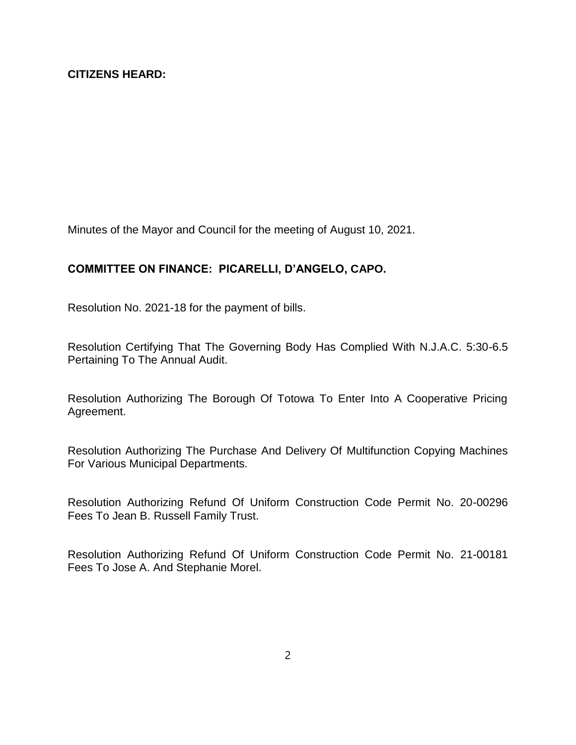Minutes of the Mayor and Council for the meeting of August 10, 2021.

## **COMMITTEE ON FINANCE: PICARELLI, D'ANGELO, CAPO.**

Resolution No. 2021-18 for the payment of bills.

Resolution Certifying That The Governing Body Has Complied With N.J.A.C. 5:30-6.5 Pertaining To The Annual Audit.

Resolution Authorizing The Borough Of Totowa To Enter Into A Cooperative Pricing Agreement.

Resolution Authorizing The Purchase And Delivery Of Multifunction Copying Machines For Various Municipal Departments.

Resolution Authorizing Refund Of Uniform Construction Code Permit No. 20-00296 Fees To Jean B. Russell Family Trust.

Resolution Authorizing Refund Of Uniform Construction Code Permit No. 21-00181 Fees To Jose A. And Stephanie Morel.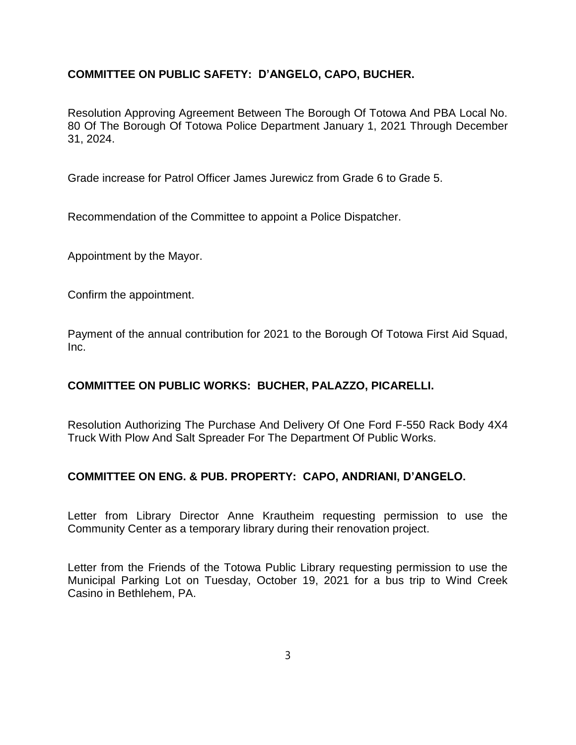## **COMMITTEE ON PUBLIC SAFETY: D'ANGELO, CAPO, BUCHER.**

Resolution Approving Agreement Between The Borough Of Totowa And PBA Local No. 80 Of The Borough Of Totowa Police Department January 1, 2021 Through December 31, 2024.

Grade increase for Patrol Officer James Jurewicz from Grade 6 to Grade 5.

Recommendation of the Committee to appoint a Police Dispatcher.

Appointment by the Mayor.

Confirm the appointment.

Payment of the annual contribution for 2021 to the Borough Of Totowa First Aid Squad, Inc.

### **COMMITTEE ON PUBLIC WORKS: BUCHER, PALAZZO, PICARELLI.**

Resolution Authorizing The Purchase And Delivery Of One Ford F-550 Rack Body 4X4 Truck With Plow And Salt Spreader For The Department Of Public Works.

### **COMMITTEE ON ENG. & PUB. PROPERTY: CAPO, ANDRIANI, D'ANGELO.**

Letter from Library Director Anne Krautheim requesting permission to use the Community Center as a temporary library during their renovation project.

Letter from the Friends of the Totowa Public Library requesting permission to use the Municipal Parking Lot on Tuesday, October 19, 2021 for a bus trip to Wind Creek Casino in Bethlehem, PA.